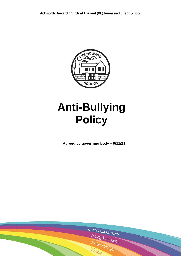

# **Anti-Bullying Policy**

**Agreed by governing body – 9/11/21**

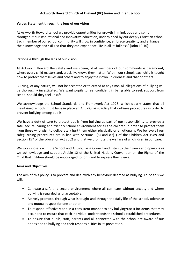# **Ackworth Howard Church of England (VC) Junior and Infant School**

#### **Values Statement through the lens of our vision**

At Ackworth Howard school we provide opportunities for growth in mind, body and spirit throughout our inspirational and innovative education, underpinned by our deeply Christian ethos. Each member of our school community will grow in confidence, embrace creativity and enhance their knowledge and skills so that they can experience 'life in all its fullness.' (John 10:10)

#### **Rationale through the lens of our vision**

At Ackworth Howard the safety and well-being of all members of our community is paramount, where every child matters and, crucially, knows they matter. Within our school, each child is taught how to protect themselves and others and to enjoy their own uniqueness and that of others.

Bullying, of any nature, will not be accepted or tolerated at any time. All allegations of bullying will be thoroughly investigated. We want pupils to feel confident in being able to seek support from school should they feel unsafe.

We acknowledge the School Standards and Framework Act 1998, which clearly states that all maintained schools must have in place an Anti-Bullying Policy that outlines procedures in order to prevent bullying among pupils.

We have a duty of care to protect pupils from bullying as part of our responsibility to provide a safe, secure, caring and friendly school environment for all the children in order to protect them from those who wish to deliberately hurt them either physically or emotionally. We believe all our safeguarding procedures are in line with Sections 3(5) and 87(1) of the Children Act 1989 and Section 157 of the Education Act 2002 and that we promote the welfare of all children in our care.

We work closely with the School and Anti-bullying Council and listen to their views and opinions as we acknowledge and support Article 12 of the United Nations Convention on the Rights of the Child that children should be encouraged to form and to express their views.

#### **Aims and Objectives**

The aim of this policy is to prevent and deal with any behaviour deemed as bullying. To do this we will:

- Cultivate a safe and secure environment where all can learn without anxiety and where bullying is regarded as unacceptable.
- Actively promote, through what is taught and through the daily life of the school, tolerance and mutual respect for one another.
- To respond effectively and in a consistent manner to any bullying/racist incidents that may occur and to ensure that each individual understands the school's established procedures.
- To ensure that pupils, staff, parents and all connected with the school are aware of our opposition to bullying and their responsibilities in its prevention.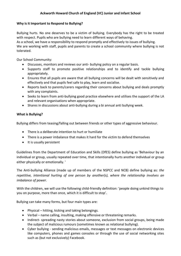# **Why is it Important to Respond to Bullying?**

Bullying hurts. No one deserves to be a victim of bullying. Everybody has the right to be treated with respect. Pupils who are bullying need to learn different ways of behaving. As a school, we have a responsibility to respond promptly and effectively to issues of bullying. We are working with staff, pupils and parents to create a school community where bullying is not tolerated.

Our School Community:

- Discusses, monitors and reviews our anti- bullying policy on a regular basis.
- Supports staff to promote positive relationships and to identify and tackle bullying appropriately.
- Ensures that all pupils are aware that all bullying concerns will be dealt with sensitively and effectively and that pupils feel safe to play, learn and socialise.
- Reports back to parents/carers regarding their concerns about bullying and deals promptly with any complaints.
- Seeks to learn from anti-bullying good practice elsewhere and utilises the support of the LA and relevant organisations when appropriate.
- Shares in discussions about anti-bullying during a bi annual anti bullying week.

# **What is Bullying?**

Bullying differs from teasing/falling out between friends or other types of aggressive behaviour.

- There is a deliberate intention to hurt or humiliate
- There is a power imbalance that makes it hard for the victim to defend themselves
- It is usually persistent

Guidelines from the Department of Education and Skills (DfES) define bullying as 'Behaviour by an individual or group, usually repeated over time, that intentionally hurts another individual or group either physically or emotionally. '

The Anti-bullying Alliance (made up of members of the NSPCC and NCB) define bullying as: *the repetitive, intentional hurting of one person by another(s), where the relationship involves an imbalance of power.* 

With the children, we will use the following child-friendly definition: 'people doing unkind things to you on purpose, more than once, which it is difficult to stop'.

Bullying can take many forms, but four main types are:

- Physical hitting, kicking and taking belongings.
- Verbal name calling, insulting, making offensive or threatening remarks.
- Indirect- spreading nasty stories about someone, exclusion from social groups, being made the subject of malicious rumours (sometimes known as relational bullying).
- Cyber bullying sending malicious emails, messages or text messages on electronic devices like computers, phones and games consoles or through the use of social networking sites such as (but not exclusively) Facebook.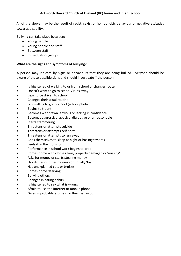# **Ackworth Howard Church of England (VC) Junior and Infant School**

All of the above may be the result of racist, sexist or homophobic behaviour or negative attitudes towards disability.

Bullying can take place between:

- Young people
- Young people and staff
- Between staff
- Individuals or groups

## **What are the signs and symptoms of bullying?**

A person may indicate by signs or behaviours that they are being bullied. Everyone should be aware of these possible signs and should investigate if the person;

- Is frightened of walking to or from school or changes route
- Doesn't want to go to school / runs away
- Begs to be driven to school
- Changes their usual routine
- Is unwilling to go to school (school phobic)
- Begins to truant
- Becomes withdrawn, anxious or lacking in confidence
- Becomes aggressive, abusive, disruptive or unreasonable
- Starts stammering
- Threatens or attempts suicide
- Threatens or attempts self harm
- Threatens or attempts to run away
- Cries themselves to sleep at night or has nightmares
- Feels ill in the morning
- Performance in school work begins to drop
- Comes home with clothes torn, property damaged or 'missing'
- Asks for money or starts stealing money
- Has dinner or other monies continually 'lost'
- Has unexplained cuts or bruises
- Comes home 'starving'
- Bullying others
- Changes in eating habits
- Is frightened to say what is wrong
- Afraid to use the internet or mobile phone
- Gives improbable excuses for their behaviour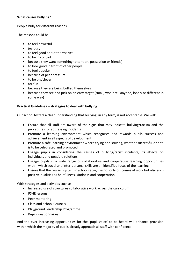# **What causes Bullying?**

People bully for different reasons.

The reasons could be:

- to feel powerful
- jealousy
- to feel good about themselves
- to be in control
- because they want something (attention, possession or friends)
- to look good in front of other people
- to feel popular
- because of peer pressure
- to be big/clever
- for fun
- because they are being bullied themselves
- because they see and pick on an easy target (small, won't tell anyone, lonely or different in some way)

# **Practical Guidelines – strategies to deal with bullying**

Our school fosters a clear understanding that bullying, in any form, is not acceptable. We will:

- Ensure that all staff are aware of the signs that may indicate bullying/racism and the procedures for addressing incidents
- Promote a learning environment which recognises and rewards pupils success and achievement in all aspects of development,
- Promote a safe learning environment where trying and striving, whether successful or not, is to be celebrated and promoted
- Engage pupils in considering the causes of bullying/racist incidents, its effects on individuals and possible solutions,
- Engage pupils in a wide range of collaborative and cooperative learning opportunities within which social and inter-personal skills are an identified focus of the learning
- Ensure that the reward system in school recognise not only outcomes of work but also such positive qualities as helpfulness, kindness and cooperation.

With strategies and activities such as:

- Increased use of structures collaborative work across the curriculum
- PSHE lessons
- Peer mentoring
- Class and School Councils
- Playground Leadership Programme
- Pupil questionnaires

And the ever increasing opportunities for the 'pupil voice' to be heard will enhance provision within which the majority of pupils already approach all staff with confidence.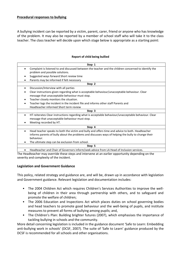## **Procedural responses to bullying**

A bullying incident can be reported by a victim, parent, carer, friend or anyone who has knowledge of the problem. It may also be reported by a member of school staff who will take it to the class teacher. The class teacher will decide upon which stage below is appropriate as a starting point:

#### **Report of child being bullied**

| Step 1                                                                                                             |
|--------------------------------------------------------------------------------------------------------------------|
| Complaint is listened to and discussed between the teacher and the children concerned to identify the              |
| problem and possible solutions.                                                                                    |
| Suggested ways forward Short review time                                                                           |
| Parents may be informed if felt necessary                                                                          |
| Step 2                                                                                                             |
| Discussion/Interview with all parties<br>$\bullet$                                                                 |
| Clear instructions given regarding what is acceptable behaviour/unacceptable behaviour. Clear                      |
| message that unacceptable behaviour must stop.                                                                     |
| Teacher closely monitors the situation.                                                                            |
| Teacher logs the incident in the incident file and informs other staff Parents and                                 |
| Headteacher informed Short term review                                                                             |
| Step 3                                                                                                             |
| HT reiterates Clear instructions regarding what is acceptable behaviour/unacceptable behaviour. Clear<br>$\bullet$ |
| message that unacceptable behaviour must stop.                                                                     |
| Meeting recorded by HT.                                                                                            |
| Step 4                                                                                                             |
| Head teacher speaks to both the victim and bully and offers time and advice to both. Headteacher                   |
| informs parents of bully about the problems and discusses ways of helping the bully to change their                |
| behaviour.                                                                                                         |
| The ultimate step can be exclusion from school.                                                                    |
| Step 5                                                                                                             |
| Headteacher and Chair of Governors inform/seek advice from LA Head of Inclusion services.                          |

The Headteacher may override these steps and intervene at an earlier opportunity depending on the severity and complexity of the incident.

#### **Legislation and Government Guidance**

This policy, related strategy and guidance are, and will be, drawn up in accordance with legislation and Government guidance. Relevant legislation and documentation includes:

- The 2004 Children Act which requires Children's Services Authorities to improve the wellbeing of children in their area through partnership with others, and to safeguard and promote the welfare of children;
- The 2006 Education and Inspections Act which places duties on school governing bodies and head teachers to promote good behaviour and the well-being of pupils, and institute measures to prevent all forms of bullying among pupils; and,
- The Children's Plan: Building brighter futures (2007), which emphasises the importance of tackling bullying in schools and the community.

More detail concerning legislation is included in the guidance document 'Safe to Learn: Embedding anti-bullying work in schools' (DCSF, 2007). The suite of 'Safe to Learn' guidance produced by the DCSF is recommended for all schools and other organisations.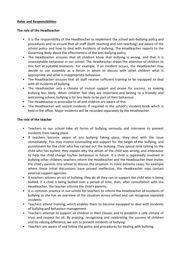### **Roles and Responsibilities**

## **The role of the Headteacher**

- It is the responsibility of the Headteacher to implement the school anti-bullying policy and procedures and to ensure that all staff (both teaching and non-teaching) are aware of the school policy and how to deal with incidents of bullying. The Headteacher reports to the Governing Body about the effectiveness of the anti-bullying policy.
- The Headteacher ensures that all children know that bullying is wrong, and that it is unacceptable behaviour in our school. The Headteacher draws the attention of children to this fact at suitable moments. For example, if an incident occurs, the Headteacher may decide to use assembly as a forum in which to discuss with other children what is appropriate and what is inappropriate behaviour.
- The Headteacher ensures that all staff receive sufficient training to be equipped to deal with all incidents of bullying.
- The Headteacher sets a climate of mutual support and praise for success, so making bullying less likely. When children feel they are important and belong to a friendly and welcoming school, bullying is far less likely to be part of their behaviour.
- The Headteacher is accessible to all and children are aware of this.
- The Headteacher will record incidents if required in the school's incident book which is held in the office. Major incidents will be recorded separately by the Headteacher.

# **The role of the teacher**

- Teachers in our school take all forms of bullying seriously and intervene to prevent incidents from taking place.
- If teachers become aware of any bullying taking place, they deal with the issue immediately. This may involve counselling and support for the target of the bullying, and punishment for the child who has carried out the bullying. They spend time talking to the child who has bullied; they explain why the action of the child was wrong, and endeavour to help the child change his/her behaviour in future. If a child is repeatedly involved in bullying other children, teachers inform the Headteacher and the Headteacher then invites the child's parents into school to discuss the situation. In more extreme cases, for example where these initial discussions have proved ineffective, the Headteacher may contact external support agencies.
- If teachers witness an act of bullying, they do all they can to support the child who is being bullied. If a child is being bullied over a period of time, then, after consultation with the Headteacher, the teacher informs the child's parents.
- It is common practice in our school for teachers to inform the Headteacher of incidents of bullying so she has an overview of the situation across school and can recognise repeated incidents.
- Teachers attend training, which enables them to become equipped to deal with incidents of bullying and behaviour management.
- Teachers attempt to support all children in their classes and to establish a safe climate of trust and respect for all. By praising, recognising and celebrating the success of children and by valuing difference, we aim to prevent incidents of bullying.
- Teachers are aware of and follow the policy and procedures for dealing with bullying.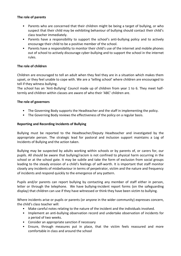# **The role of parents**

- Parents who are concerned that their children might be being a target of bullying, or who suspect that their child may be exhibiting behaviour of bullying should contact their child's class teacher immediately.
- Parents have a responsibility to support the school's anti-bullying policy and to actively encourage their child to be a positive member of the school.
- Parents have a responsibility to monitor their child's use of the internet and mobile phones out of school to actively discourage cyber-bullying and to support the school in the internet rules.

# **The role of children**

Children are encouraged to tell an adult when they feel they are in a situation which makes them upset, or they feel unable to cope with. We are a 'telling school' where children are encouraged to tell if they witness bullying.

The school has an 'Anti-Bullying' Council made up of children from year 1 to 6. They meet halftermly and children within classes are aware of who their 'ABC' children are.

# **The role of governors**

- The Governing Body supports the Headteacher and the staff in implementing the policy.
- The Governing Body reviews the effectiveness of the policy on a regular basis.

# **Reporting and Recording Incidents of Bullying**

Bullying must be reported to the Headteacher/Deputy Headteacher and investigated by the appropriate person. The strategic lead for pastoral and inclusion support maintains a Log of Incidents of Bullying and the action taken.

Bullying may be suspected by adults working within schools or by parents of, or carers for, our pupils. All should be aware that bullying/racism is not confined to physical harm occurring in the school or at the school gate. It may be subtle and take the form of exclusion from social groups leading to the steady erosion of a child's feelings of self-worth. It is important that staff monitor closely any incidents of misbehaviour in terms of perpetrator, victim and the nature and frequency of incidents and respond quickly to the emergence of any pattern.

Pupils and/or parents can report bullying by contacting any member of staff either in person, letter or through the telephone. We have bullying-incident report forms (on the safeguarding display) that children can use if they have witnessed or think they have been victim to bullying.

Where incidents arise or pupils or parents (or anyone in the wider community) expresses concern, the child's class teacher will:

- Make careful notes relating to the nature of the incident and the individuals involved.
- Implement an anti-bullying observation record and undertake observation of incidents for a period of two weeks.
- Consider an appropriate sanction if necessary
- Ensure, through measures put in place, that the victim feels reassured and more comfortable in class and around the school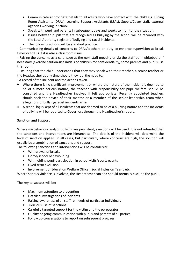- Communicate appropriate details to all adults who have contact with the child e.g. Dining Room Assistants (DRAs), Learning Support Assistants (LSAs), Supply/Cover staff, external agencies working in school
- Speak with pupil and parents in subsequent days and weeks to monitor the situation.
- Issues between pupils that are recognised as bullying by the school will be recorded with the Local Authority register of bullying and racial incidents.
- The following actions will be standard practice:

- Communicating details of concerns to DRAs/teachers on duty to enhance supervision at break times or to LSA if it is also a classroom issue

- Raising the concerns as a care issue at the next staff meeting or via the staffroom whiteboard if necessary (exercise caution-use initials of children for confidentiality, some parents and pupils use this room)

- Ensuring that the child understands that they may speak with their teacher, a senior teacher or the Headteacher at any time should they feel the need to.

- A record of the incident and the actions taken.

- Where there is no significant improvement or where the nature of the incident is deemed to be of a more serious nature, the teacher with responsibility for pupil welfare should be consulted and the Headteacher involved if felt appropriate. Recently appointed teachers should seek the advice of their mentor or a member of the senior leadership team when allegations of bullying/racist incidents arise.
- A school log is kept of all incidents that are deemed to be of a bullying nature and the incidents of bullying will be reported to Governors through the Headteacher's report.

# **Sanction and Support**

Where misbehaviour and/or bullying are persistent, sanctions will be used. It is not intended that the sanctions and interventions are hierarchical. The details of the incident will determine the level of sanction applied. In all cases, but particularly where concerns are high, the solution will usually be a combination of sanctions and support.

The following sanctions and interventions will be considered:

- Withdrawal of breaks
- Home/school behaviour log
- Withholding pupil participation in school visits/sports events
- Fixed term exclusion
- Involvement of Education Welfare Officer, Social Inclusion Team, etc.

Where serious violence is involved, the Headteacher can and should normally exclude the pupil.

The key to success will be:

- Maximum attention to prevention
- Detailed investigations of incidents
- Raising awareness of all staff re: needs of particular individuals
- Judicious use of sanctions
- Carefully targeted support for the victim and the perpetrator
- Quality ongoing communication with pupils and parents of all parties
- Follow up conversations to report on subsequent progress.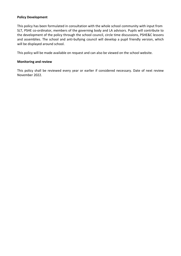## **Policy Development**

This policy has been formulated in consultation with the whole school community with input from SLT, PSHE co-ordinator, members of the governing body and LA advisors. Pupils will contribute to the development of the policy through the school council, circle time discussions, PSHE&C lessons and assemblies. The school and anti-bullying council will develop a pupil friendly version, which will be displayed around school.

This policy will be made available on request and can also be viewed on the school website.

## **Monitoring and review**

This policy shall be reviewed every year or earlier if considered necessary. Date of next review November 2022.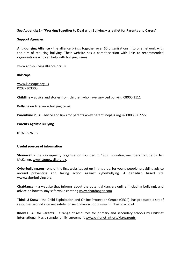# **See Appendix 1 - "Working Together to Deal with Bullying – a leaflet for Parents and Carers"**

## **Support Agencies**

**Anti-bullying Alliance** - the alliance brings together over 60 organisations into one network with the aim of reducing bullying. Their website has a parent section with links to recommended organisations who can help with bullying issues

## www.anti-bullyingalliance.org.uk

**Kidscape**

www.kidscape.org.uk 02077303300

**Childline** – advice and stories from children who have survived bullying 08000 1111

**Bullying on line** www.bullying.co.uk

Parentline Plus - advice and links for parents www.parentlineplus.org.uk 08088002222

## **Parents Against Bullying**

01928 576152

#### **Useful sources of information**

**Stonewall** - the gay equality organisation founded in 1989. Founding members include Sir Ian McKellen. www.stonewall.org.uk.

**Cyberbullying.org** - one of the first websites set up in this area, for young people, providing advice around preventing and taking action against cyberbullying. A Canadian based site www.cyberbullying.org

**Chatdanger** - a website that informs about the potential dangers online (including bullying), and advice on how to stay safe while chatting www.chatdanger.com

**Think U Know** - the Child Exploitation and Online Protection Centre (CEOP), has produced a set of resources around internet safety for secondary schools www.thinkuknow.co.uk

**Know IT All for Parents** – a range of resources for primary and secondary schools by Childnet International. Has a sample family agreement www.childnet-int.org/kia/parents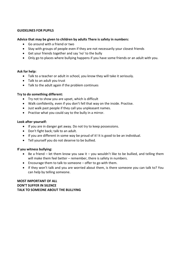## **GUIDELINES FOR PUPILS**

## **Advice that may be given to children by adults There is safety in numbers:**

- Go around with a friend or two
- Stay with groups of people even if they are not necessarily your closest friends
- Get your friends together and say 'no' to the bully
- Only go to places where bullying happens if you have some friends or an adult with you.

#### **Ask for help:**

- Talk to a teacher or adult in school, you know they will take it seriously.
- Talk to an adult you trust
- Talk to the adult again if the problem continues

## **Try to do something different:**

- Try not to show you are upset, which is difficult
- Walk confidently, even if you don't fell that way on the inside. Practise.
- Just walk past people if they call you unpleasant names.
- Practise what you could say to the bully in a mirror.

#### **Look after yourself:**

- If you are in danger get away. Do not try to keep possessions.
- Don't fight back; talk to an adult.
- If you are different in some way be proud of it! It is good to be an individual.
- Tell yourself you do not deserve to be bullied.

#### **If you witness bullying:**

- Be a friend let them know you saw it you wouldn't like to be bullied, and telling them will make them feel better – remember, there is safety in numbers.
- Encourage them to talk to someone offer to go with them.
- If they won't talk and you are worried about them, is there someone you can talk to? You can help by telling someone.

**MOST IMPORTANT OF ALL DON'T SUFFER IN SILENCE TALK TO SOMEONE ABOUT THE BULLYING**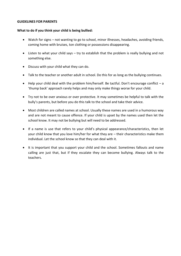### **GUIDELINES FOR PARENTS**

## **What to do if you think your child is being bullied:**

- Watch for signs not wanting to go to school, minor illnesses, headaches, avoiding friends, coming home with bruises, ton clothing or possessions disappearing.
- Listen to what your child says try to establish that the problem is really bullying and not something else.
- Discuss with your child what they can do.
- Talk to the teacher or another adult in school. Do this for as long as the bullying continues.
- Help your child deal with the problem him/herself. Be tactful. Don't encourage conflict a 'thump back' approach rarely helps and may only make things worse for your child.
- Try not to be over anxious or over protective. It may sometimes be helpful to talk with the bully's parents, but before you do this talk to the school and take their advice.
- Most children are called names at school. Usually these names are used in a humorous way and are not meant to cause offence. If your child is upset by the names used then let the school know. It may not be bullying but will need to be addressed.
- If a name is use that refers to your child's physical appearance/characteristics, then let your child know that you love him/her for what they are – their characteristics make them individual. Let the school know so that they can deal with it.
- It is important that you support your child and the school. Sometimes fallouts and name calling are just that, but if they escalate they can become bullying. Always talk to the teachers.